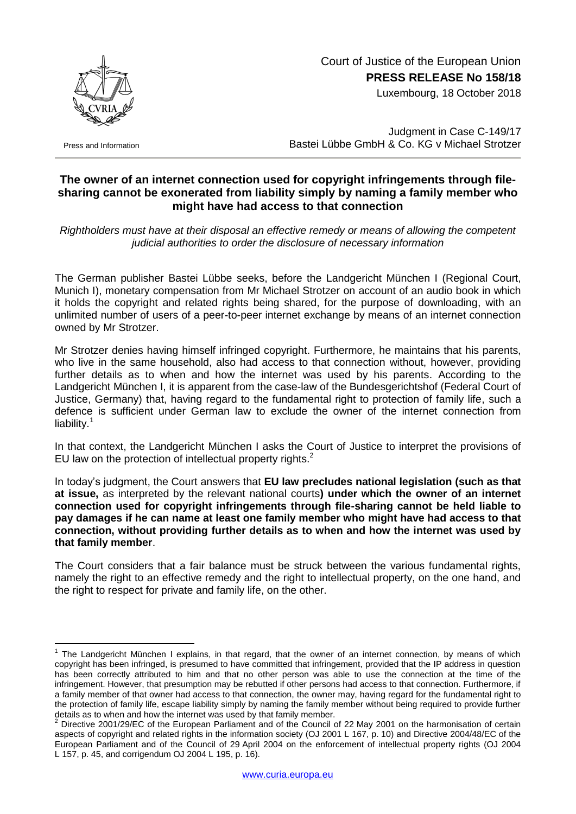

Press and Information

1

## Court of Justice of the European Union **PRESS RELEASE No 158/18**

Luxembourg, 18 October 2018

Judgment in Case C-149/17 Bastei Lübbe GmbH & Co. KG v Michael Strotzer

## **The owner of an internet connection used for copyright infringements through filesharing cannot be exonerated from liability simply by naming a family member who might have had access to that connection**

*Rightholders must have at their disposal an effective remedy or means of allowing the competent judicial authorities to order the disclosure of necessary information*

The German publisher Bastei Lübbe seeks, before the Landgericht München I (Regional Court, Munich I), monetary compensation from Mr Michael Strotzer on account of an audio book in which it holds the copyright and related rights being shared, for the purpose of downloading, with an unlimited number of users of a peer-to-peer internet exchange by means of an internet connection owned by Mr Strotzer.

Mr Strotzer denies having himself infringed copyright. Furthermore, he maintains that his parents, who live in the same household, also had access to that connection without, however, providing further details as to when and how the internet was used by his parents. According to the Landgericht München I, it is apparent from the case-law of the Bundesgerichtshof (Federal Court of Justice, Germany) that, having regard to the fundamental right to protection of family life, such a defence is sufficient under German law to exclude the owner of the internet connection from liability.<sup>1</sup>

In that context, the Landgericht München I asks the Court of Justice to interpret the provisions of EU law on the protection of intellectual property rights.<sup>2</sup>

In today's judgment, the Court answers that **EU law precludes national legislation (such as that at issue,** as interpreted by the relevant national courts**) under which the owner of an internet connection used for copyright infringements through file-sharing cannot be held liable to pay damages if he can name at least one family member who might have had access to that connection, without providing further details as to when and how the internet was used by that family member**.

The Court considers that a fair balance must be struck between the various fundamental rights, namely the right to an effective remedy and the right to intellectual property, on the one hand, and the right to respect for private and family life, on the other.

<sup>&</sup>lt;sup>1</sup> The Landgericht München I explains, in that regard, that the owner of an internet connection, by means of which copyright has been infringed, is presumed to have committed that infringement, provided that the IP address in question has been correctly attributed to him and that no other person was able to use the connection at the time of the infringement. However, that presumption may be rebutted if other persons had access to that connection. Furthermore, if a family member of that owner had access to that connection, the owner may, having regard for the fundamental right to the protection of family life, escape liability simply by naming the family member without being required to provide further details as to when and how the internet was used by that family member.

<sup>2</sup> Directive 2001/29/EC of the European Parliament and of the Council of 22 May 2001 on the harmonisation of certain aspects of copyright and related rights in the information society (OJ 2001 L 167, p. 10) and Directive 2004/48/EC of the European Parliament and of the Council of 29 April 2004 on the enforcement of intellectual property rights (OJ 2004 L 157, p. 45, and corrigendum OJ 2004 L 195, p. 16).